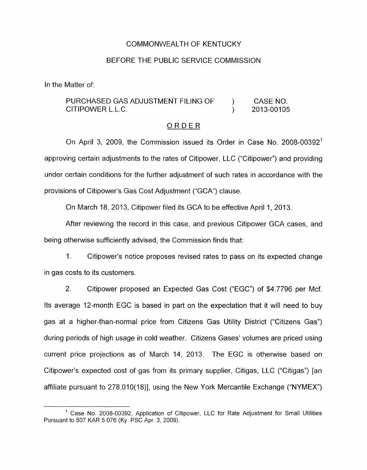#### COMMONWEALTH OF KENTUCKY

#### BEFORE THE PUBLIC SERVICE COMMISSION

In the Matter of:

## PURCHASED GAS ADJUSTMENT FILING OF  $\qquad$  ) CASE NO. CITIPOWER L.L.C. 2013-001 05

#### ORDER

On April 3, 2009, the Commission issued its Order in Case No. 2008-00392' approving certain adjustments to the rates of Citipower, LLC ("Citipower") and providing under certain conditions for the further adjustment of such rates in accordance with the provisions of Citipower's Gas Cost Adjustment ("GCA") clause.

On March 18, 2013, Citipower filed its GCA to be effective April 1, 2013.

After reviewing the record in this case, and previous Citipower GCA cases, and being otherwise sufficiently advised, the Commission finds that:

1. Citipower's notice proposes revised rates to pass on its expected change in gas costs to its customers.

2. Citipower proposed an Expected Gas Cost ("EGC") of \$4.7796 per Mcf. Its average 12-month EGC is based in part on the expectation that it will need to buy gas at a higher-than-normal price from Citizens Gas Utility District ("Citizens Gas") during periods of high usage in cold weather. Citizens Gases' volumes are priced using current price projections as of March 14, 2013. The EGC is otherwise based on Citipower's expected cost of gas from its primary supplier, Citigas, LLC ("Citigas") [an affiliate pursuant to 278.010(18)], using the New York Mercantile Exchange ("NYMEX")

<sup>&</sup>lt;sup>1</sup> Case No. 2008-00392, Application of Citipower, LLC for Rate Adjustment for Small Utilities Pursuant to 807 KAR 5:076 (Ky. PSC Apr. 3, 2009).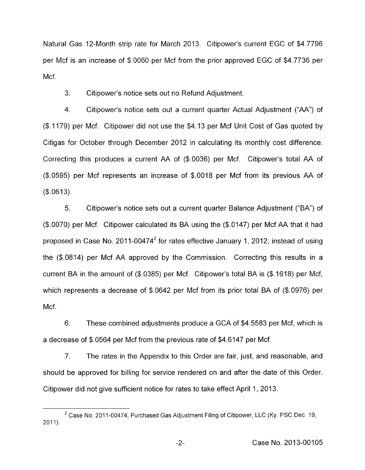Natural Gas 12-Month strip rate for March 2013. Citipower's current EGC of \$4.7796 per Mcf is an increase of \$.0060 per Mcf from the prior approved EGC of \$4.7736 per Mcf.

3. Citipower's notice sets out no Refund Adjustment.

4. Citipower's notice sets out a current quarter Actual Adjustment ("AA") of (\$.I 179) per Mcf. Citipower did not use the \$4.13 per Mcf Unit Cost of Gas quoted by Citigas for October through December 2012 in calculating its monthly cost difference. Correcting this produces a current AA of (\$.0036) per Mcf. Citipower's total AA of (\$.0595) per Mcf represents an increase of \$.0018 per Mcf from its previous AA of  $($ \$.0613).

*5.* Citipower's notice sets out a current quarter Balance Adjustment ("BA") of (\$.0070) per Mcf. Citipower calculated its BA using the (\$.0147) per Mcf AA that it had proposed in Case No. 2011-00474 $^2$  for rates effective January 1, 2012, instead of using the (\$.0814) per Mcf AA approved by the Commission. Correcting this results in a current BA in the amount of (\$.0385) per Mcf. Citipower's total BA is (\$.1618) per Mcf, which represents a decrease of \$.0642 per Mcf from its prior total BA of (\$.0976) per Mcf.

6. These combined adjustments produce a GCA of \$4.5583 per Mcf, which is a decrease of \$.0564 per Mcf from the previous rate of \$4.6147 per Mcf.

7. The rates in the Appendix to this Order are fair, just, and reasonable, and should be approved for billing for service rendered on and after the date of this Order. Citipower did not give sufficient notice for rates to take effect April 1, 2013.

 $2$  Case No. 2011-00474, Purchased Gas Adjustment Filing of Citipower, LLC (Ky. PSC Dec. 19,  $2011$ ).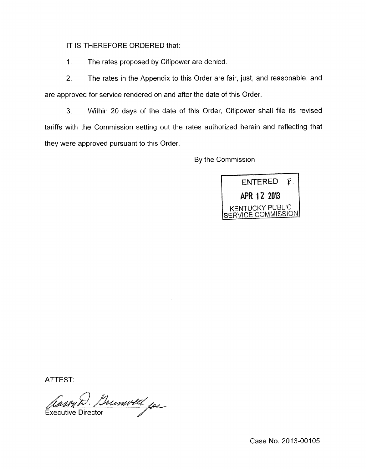IT IS THEREFORE ORDERED that:

I. The rates proposed by Citipower are denied.

2. The rates in the Appendix to this Order are fair, just, and reasonable, and are approved for service rendered on and after the date of this Order.

3. Within 20 days of the date of this Order, Citipower shall file its revised tariffs with the Commission setting out the rates authorized herein and reflecting that they were approved pursuant to this Order.

By the Commission



ATTEST:

Brunwell for **Executive Director** 

Case No. 2013-00105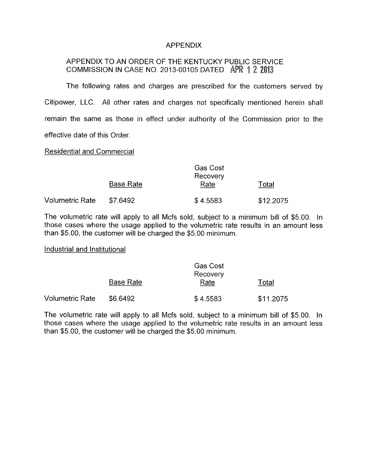## APPENDIX

# APPENDIX TO AN ORDER OF THE KENTUCKY PUBLIC SERVICE COMMISSION IN CASE NO. 2013-00105 DATED APR 1 2 2013

The following rates and charges are prescribed for the customers served by Citipower, LLC. All other rates and charges not specifically mentioned herein shall remain the same as those in effect under authority of the Commission prior to the effective date of this Order.

### Residential and Commercial

|                 | Gas Cost<br>Recovery |          |           |  |
|-----------------|----------------------|----------|-----------|--|
|                 | <b>Base Rate</b>     | Rate     | Total     |  |
| Volumetric Rate | \$7.6492             | \$4.5583 | \$12.2075 |  |

The volumetric rate will apply to all Mcfs sold, subject to a minimum bill of \$5.00. In those cases where the usage applied to the volumetric rate results in an amount less than \$5.00, the customer will be charged the \$5.00 minimum.

### Industrial and Institutional

|                 | <b>Gas Cost</b><br>Recovery |          |           |  |
|-----------------|-----------------------------|----------|-----------|--|
|                 | <b>Base Rate</b>            | Rate     | Total     |  |
| Volumetric Rate | \$6.6492                    | \$4.5583 | \$11.2075 |  |

The volumetric rate will apply to all Mcfs sold, subject to a minimum bill of \$5.00. In those cases where the usage applied to the volumetric rate results in an amount less than \$5.00, the customer will be charged the \$5.00 minimum.